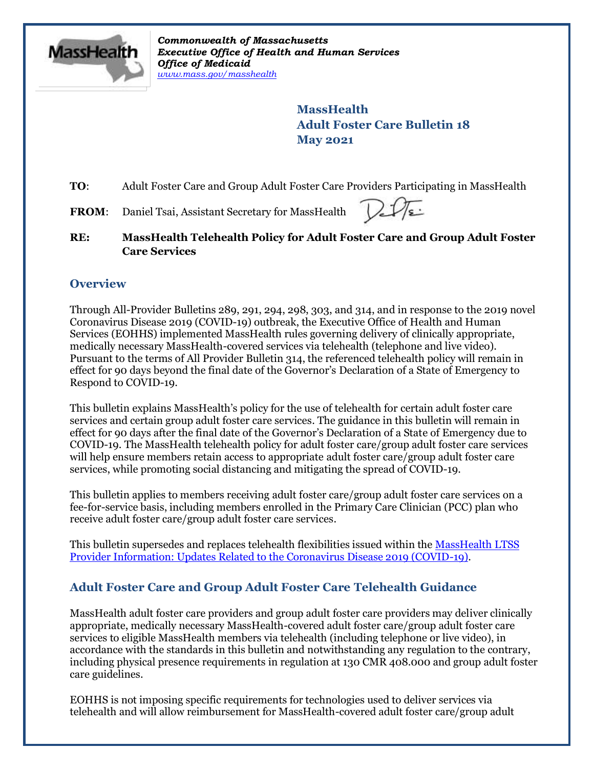

*Commonwealth of Massachusetts Executive Office of Health and Human Services Office of Medicaid [www.mass.gov/masshealth](http://www.mass.gov/masshealth)*

> **MassHealth Adult Foster Care Bulletin 18 May 2021**

**TO**: Adult Foster Care and Group Adult Foster Care Providers Participating in MassHealth

FROM: Daniel Tsai, Assistant Secretary for MassHealth



**RE: MassHealth Telehealth Policy for Adult Foster Care and Group Adult Foster Care Services**

### **Overview**

Through All-Provider Bulletins 289, 291, 294, 298, 303, and 314, and in response to the 2019 novel Coronavirus Disease 2019 (COVID-19) outbreak, the Executive Office of Health and Human Services (EOHHS) implemented MassHealth rules governing delivery of clinically appropriate, medically necessary MassHealth-covered services via telehealth (telephone and live video). Pursuant to the terms of All Provider Bulletin 314, the referenced telehealth policy will remain in effect for 90 days beyond the final date of the Governor's Declaration of a State of Emergency to Respond to COVID-19.

This bulletin explains MassHealth's policy for the use of telehealth for certain adult foster care services and certain group adult foster care services. The guidance in this bulletin will remain in effect for 90 days after the final date of the Governor's Declaration of a State of Emergency due to COVID-19. The MassHealth telehealth policy for adult foster care/group adult foster care services will help ensure members retain access to appropriate adult foster care/group adult foster care services, while promoting social distancing and mitigating the spread of COVID-19.

This bulletin applies to members receiving adult foster care/group adult foster care services on a fee-for-service basis, including members enrolled in the Primary Care Clinician (PCC) plan who receive adult foster care/group adult foster care services.

This bulletin supersedes and replaces telehealth flexibilities issued within the MassHealth LTSS [Provider Information: Updates Related to the Coronavirus Disease 2019 \(COVID-19\).](https://www.mass.gov/doc/ltss-provider-updates-for-covid-19/download?_ga=2.42790818.662193150.1607551634-447905752.1588271315)

# **Adult Foster Care and Group Adult Foster Care Telehealth Guidance**

MassHealth adult foster care providers and group adult foster care providers may deliver clinically appropriate, medically necessary MassHealth-covered adult foster care/group adult foster care services to eligible MassHealth members via telehealth (including telephone or live video), in accordance with the standards in this bulletin and notwithstanding any regulation to the contrary, including physical presence requirements in regulation at 130 CMR 408.000 and group adult foster care guidelines.

EOHHS is not imposing specific requirements for technologies used to deliver services via telehealth and will allow reimbursement for MassHealth-covered adult foster care/group adult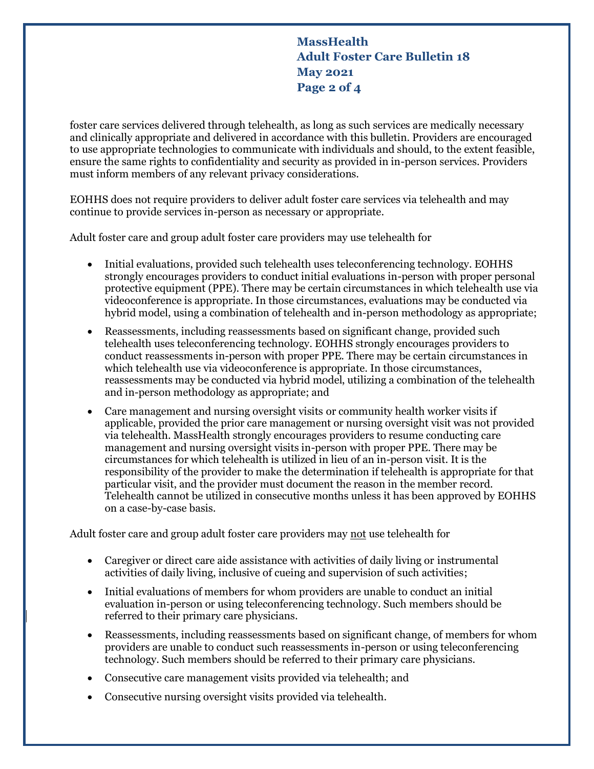**MassHealth Adult Foster Care Bulletin 18 May 2021 Page 2 of 4**

foster care services delivered through telehealth, as long as such services are medically necessary and clinically appropriate and delivered in accordance with this bulletin. Providers are encouraged to use appropriate technologies to communicate with individuals and should, to the extent feasible, ensure the same rights to confidentiality and security as provided in in-person services. Providers must inform members of any relevant privacy considerations.

EOHHS does not require providers to deliver adult foster care services via telehealth and may continue to provide services in-person as necessary or appropriate.

Adult foster care and group adult foster care providers may use telehealth for

- Initial evaluations, provided such telehealth uses teleconferencing technology. EOHHS strongly encourages providers to conduct initial evaluations in-person with proper personal protective equipment (PPE). There may be certain circumstances in which telehealth use via videoconference is appropriate. In those circumstances, evaluations may be conducted via hybrid model, using a combination of telehealth and in-person methodology as appropriate;
- Reassessments, including reassessments based on significant change, provided such telehealth uses teleconferencing technology. EOHHS strongly encourages providers to conduct reassessments in-person with proper PPE. There may be certain circumstances in which telehealth use via videoconference is appropriate. In those circumstances, reassessments may be conducted via hybrid model, utilizing a combination of the telehealth and in-person methodology as appropriate; and
- Care management and nursing oversight visits or community health worker visits if applicable, provided the prior care management or nursing oversight visit was not provided via telehealth. MassHealth strongly encourages providers to resume conducting care management and nursing oversight visits in-person with proper PPE. There may be circumstances for which telehealth is utilized in lieu of an in-person visit. It is the responsibility of the provider to make the determination if telehealth is appropriate for that particular visit, and the provider must document the reason in the member record. Telehealth cannot be utilized in consecutive months unless it has been approved by EOHHS on a case-by-case basis.

Adult foster care and group adult foster care providers may not use telehealth for

- Caregiver or direct care aide assistance with activities of daily living or instrumental activities of daily living, inclusive of cueing and supervision of such activities;
- Initial evaluations of members for whom providers are unable to conduct an initial evaluation in-person or using teleconferencing technology. Such members should be referred to their primary care physicians.
- Reassessments, including reassessments based on significant change, of members for whom providers are unable to conduct such reassessments in-person or using teleconferencing technology. Such members should be referred to their primary care physicians.
- Consecutive care management visits provided via telehealth; and
- Consecutive nursing oversight visits provided via telehealth.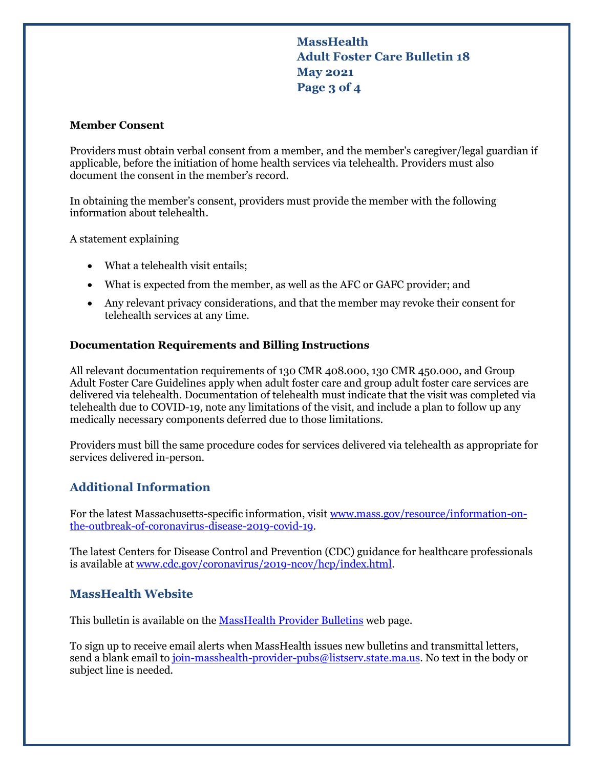# **MassHealth Adult Foster Care Bulletin 18 May 2021 Page 3 of 4**

#### **Member Consent**

Providers must obtain verbal consent from a member, and the member's caregiver/legal guardian if applicable, before the initiation of home health services via telehealth. Providers must also document the consent in the member's record.

In obtaining the member's consent, providers must provide the member with the following information about telehealth.

A statement explaining

- What a telehealth visit entails;
- What is expected from the member, as well as the AFC or GAFC provider; and
- Any relevant privacy considerations, and that the member may revoke their consent for telehealth services at any time.

#### **Documentation Requirements and Billing Instructions**

All relevant documentation requirements of 130 CMR 408.000, 130 CMR 450.000, and Group Adult Foster Care Guidelines apply when adult foster care and group adult foster care services are delivered via telehealth. Documentation of telehealth must indicate that the visit was completed via telehealth due to COVID-19, note any limitations of the visit, and include a plan to follow up any medically necessary components deferred due to those limitations.

Providers must bill the same procedure codes for services delivered via telehealth as appropriate for services delivered in-person.

### **Additional Information**

For the latest Massachusetts-specific information, visit [www.mass.gov/resource/information-on](http://www.mass.gov/resource/information-on-the-outbreak-of-coronavirus-disease-2019-covid-19)[the-outbreak-of-coronavirus-disease-2019-covid-19.](http://www.mass.gov/resource/information-on-the-outbreak-of-coronavirus-disease-2019-covid-19)

The latest Centers for Disease Control and Prevention (CDC) guidance for healthcare professionals is available at [www.cdc.gov/coronavirus/2019-ncov/hcp/index.html.](http://www.cdc.gov/coronavirus/2019-ncov/hcp/index.html)

### **MassHealth Website**

This bulletin is available on th[e MassHealth Provider Bulletins](http://www.mass.gov/masshealth-provider-bulletins) web page.

To sign up to receive email alerts when MassHealth issues new bulletins and transmittal letters, send a blank email to join-masshealth-provider-pubs@listsery.state.ma.us. No text in the body or subject line is needed.